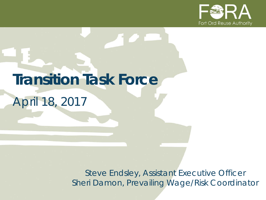

# **Transition Task Force**

*April 18, 2017*

*Steve Endsley, Assistant Executive Officer Sheri Damon, Prevailing Wage/Risk Coordinator*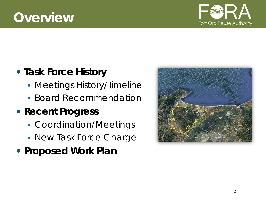# **Overview**



# **Task Force History**

- **Meetings History/Timeline**
- **Board Recommendation**

# **Recent Progress**

- Coordination/Meetings
- **New Task Force Charge**
- **Proposed Work Plan**

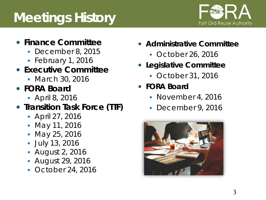# **Meetings History**



### **Finance Committee**

- December 8, 2015
- $\blacksquare$  February 1, 2016
- **Executive Committee**
	- **March 30, 2016**
- **FORA Board**
	- April 8, 2016

## **• Transition Task Force (TTF)**

- April 27, 2016
- May 11, 2016
- May 25, 2016
- July 13, 2016
- August 2, 2016
- August 29, 2016
- October 24, 2016
- **Administrative Committee**
	- October 26, 2016
- **Legislative Committee**
	- October 31, 2016
- **FORA Board** 
	- November 4, 2016
	- December 9, 2016

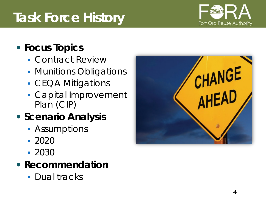#### 4

# **Task Force History**

# **Focus Topics**

- Contract Review
- **Munitions Obligations**
- **CEQA Mitigations**
- Capital Improvement Plan (CIP)
- **Scenario Analysis** 
	- **Assumptions**
	- 2020
	- 2030

# **Recommendation**

**Dual tracks** 



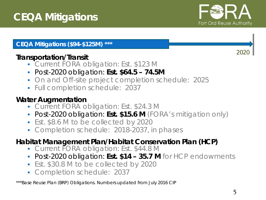

2020

#### **CEQA Mitigations (\$94-\$125M) \*\*\***

#### **Transportation/Transit**

- Current FORA obligation: Est. \$123 M
- Post-2020 obligation: **Est. \$64.5 – 74.5M**
- **On and Off-site project completion schedule: 2025**
- **Full completion schedule: 2037**

#### **Water Augmentation**

- **Current FORA obligation: Est. \$24.3 M**
- Post-2020 obligation: **Est. \$15.6 M** (FORA's mitigation only)
- **Est. \$8.6 M to be collected by 2020**
- **Completion schedule: 2018-2037, in phases**

#### **Habitat Management Plan/Habitat Conservation Plan (HCP)**

- Current FORA obligation: Est. \$44.8 M
- Post-2020 obligation: **Est. \$14 – 35.7 M** for HCP endowments
- **Est. \$30.8 M to be collected by 2020**
- **Completion schedule: 2037**

\*\*\*Base Reuse Plan (BRP) Obligations. Numbers updated from July 2016 CIP

5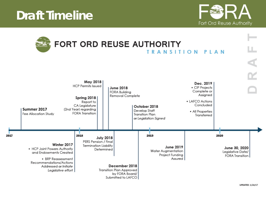# **Draft Timeline**

2017



|                                                                                                                                                                       |                                                                                                                                       |                                |                                                                                          | FORT ORD REUSE AUTHORITY<br><b>TRANSITION</b>                                    | PIAN                                                                                                                      |      | R A                                                   |
|-----------------------------------------------------------------------------------------------------------------------------------------------------------------------|---------------------------------------------------------------------------------------------------------------------------------------|--------------------------------|------------------------------------------------------------------------------------------|----------------------------------------------------------------------------------|---------------------------------------------------------------------------------------------------------------------------|------|-------------------------------------------------------|
| Summer 2017<br>Fee Allocation Study                                                                                                                                   | May 2018<br><b>HCP Permits Issued</b><br>Spring 2018<br>Report to<br>CA Legislature<br>(2nd Year) regarding<br><b>FORA Transition</b> |                                | June 2018<br><b>FORA Building</b><br>Removal Complete                                    | October 2018<br>Develop Staff<br><b>Transition Plan</b><br>or Legislation Signed | Dec. 2019<br>• CIP Projects<br>Complete or<br>Assigned<br>• LAFCO Actions<br>Concluded<br>• All Properties<br>Transferred |      |                                                       |
| Winter 2017<br>• HCP Joint Powers Authority<br>and Endowments Created<br>• BRP Reassessment<br>Recommendations/Actions<br>Addressed or Initiate<br>Legislative effort | 2018<br>PERS Pension / Final<br><b>Termination Liability</b>                                                                          | <b>July 2018</b><br>Determined | December 2018<br><b>Transition Plan Approved</b><br>by FORA Board/<br>Submitted to LAFCO | 2019<br>Water Augmentation<br>Project Funding                                    | June 2019<br>Assured                                                                                                      | 2020 | June 30, 2020<br>Legislative Date/<br>FORA Transition |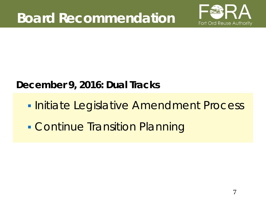

# **December 9, 2016: Dual Tracks**

- **Initiate Legislative Amendment Process**
- **Continue Transition Planning**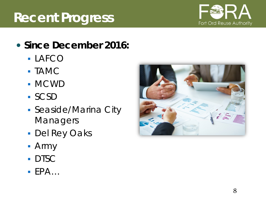#### 8

# **Recent Progress**

- **Since December 2016:**
	- LAFCO
	- TAMC
	- MCWD
	- SCSD
	- Seaside/Marina City Managers
	- Del Rey Oaks
	- Army
	- **DTSC**
	- $EPA...$



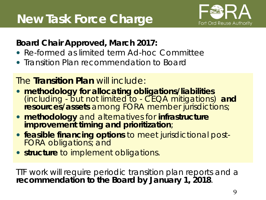

## **Board Chair Approved, March 2017:**

- Re-formed as limited term Ad-hoc Committee
- Transition Plan recommendation to Board

## The **Transition Plan** will include:

- **methodology for allocating obligations/liabilities** (*including - but not limited to - CEQA mitigations*) **and**  resources/assets among FORA member jurisdictions;
- **methodology** and alternatives for **infrastructure improvement timing and prioritization**;
- **feasible financing options** to meet jurisdictional post- FORA obligations; and
- **structure** to implement obligations.

TTF work will require periodic transition plan reports and a **recommendation to the Board by January 1, 2018**.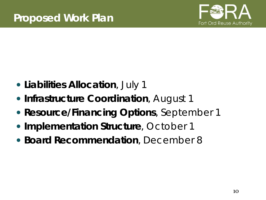

- **Liabilities Allocation**, July 1
- **Infrastructure Coordination, August 1**
- **Resource/Financing Options, September 1**
- **Implementation Structure, October 1**
- **Board Recommendation**, December 8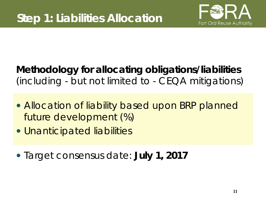

# **Methodology for allocating obligations/liabilities**  (including - but not limited to - CEQA mitigations)

- Allocation of liability based upon BRP planned future development (%)
- Unanticipated liabilities
- *Target consensus date: July 1, 2017*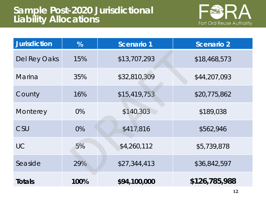

| <b>Jurisdiction</b> | %    | <b>Scenario 1</b> | <b>Scenario 2</b> |
|---------------------|------|-------------------|-------------------|
| Del Rey Oaks        | 15%  | \$13,707,293      | \$18,468,573      |
| <b>Marina</b>       | 35%  | \$32,810,309      | \$44,207,093      |
| County              | 16%  | \$15,419,753      | \$20,775,862      |
| Monterey            | 0%   | \$140,303         | \$189,038         |
| CSU                 | 0%   | \$417,816         | \$562,946         |
| <b>UC</b>           | 5%   | \$4,260,112       | \$5,739,878       |
| Seaside             | 29%  | \$27,344,413      | \$36,842,597      |
| <b>Totals</b>       | 100% | \$94,100,000      | \$126,785,988     |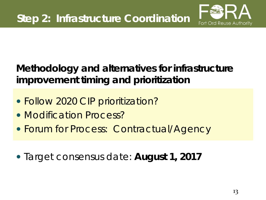

# **Methodology and alternatives for infrastructure improvement timing and prioritization**

- Follow 2020 CIP prioritization?
- Modification Process?
- Forum for Process: Contractual/Agency
- *Target consensus date: August 1, 2017*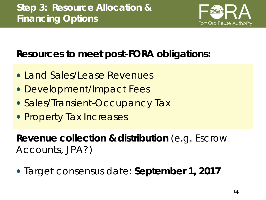

# **Resources to meet post-FORA obligations:**

- Land Sales/Lease Revenues
- Development/Impact Fees
- Sales/Transient-Occupancy Tax
- Property Tax Increases

**Revenue collection & distribution** (e.g. Escrow Accounts, JPA?)

*Target consensus date: September 1, 2017*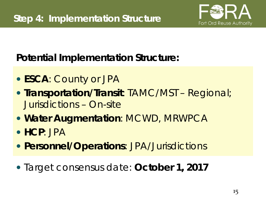

*Potential* **Implementation Structure:**

- **ESCA**: County or JPA
- **Transportation/Transit**: TAMC/MST Regional; Jurisdictions – On-site
- **Water Augmentation**: MCWD, MRWPCA
- **HCP**: JPA
- **Personnel/Operations**: JPA/Jurisdictions
- *Target consensus date: October 1, 2017*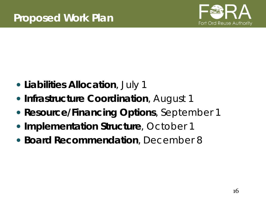

- **Liabilities Allocation**, July 1
- **Infrastructure Coordination, August 1**
- **Resource/Financing Options, September 1**
- **Implementation Structure, October 1**
- **Board Recommendation**, December 8